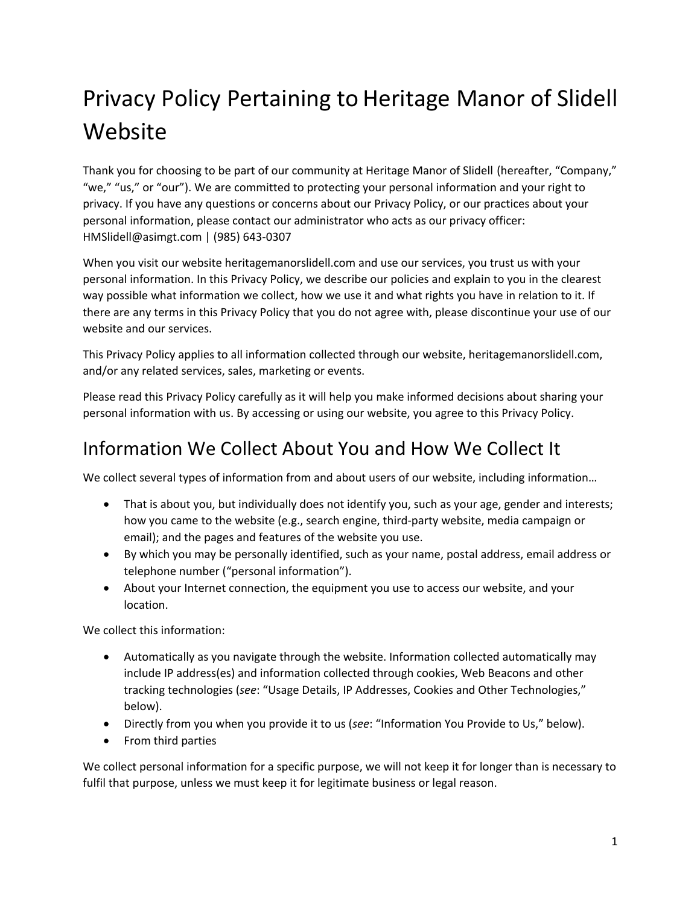# Privacy Policy Pertaining to Heritage Manor of Slidell Website

Thank you for choosing to be part of our community at Heritage Manor of Slidell (hereafter, "Company," "we," "us," or "our"). We are committed to protecting your personal information and your right to privacy. If you have any questions or concerns about our Privacy Policy, or our practices about your personal information, please contact our administrator who acts as our privacy officer: HMSlidell@asimgt.com | (985) 643-0307

When you visit our website heritagemanorslidell.com and use our services, you trust us with your personal information. In this Privacy Policy, we describe our policies and explain to you in the clearest way possible what information we collect, how we use it and what rights you have in relation to it. If there are any terms in this Privacy Policy that you do not agree with, please discontinue your use of our website and our services.

This Privacy Policy applies to all information collected through our website, heritagemanorslidell.com, and/or any related services, sales, marketing or events.

Please read this Privacy Policy carefully as it will help you make informed decisions about sharing your personal information with us. By accessing or using our website, you agree to this Privacy Policy.

# Information We Collect About You and How We Collect It

We collect several types of information from and about users of our website, including information…

- That is about you, but individually does not identify you, such as your age, gender and interests; how you came to the website (e.g., search engine, third-party website, media campaign or email); and the pages and features of the website you use.
- By which you may be personally identified, such as your name, postal address, email address or telephone number ("personal information").
- About your Internet connection, the equipment you use to access our website, and your location.

We collect this information:

- Automatically as you navigate through the website. Information collected automatically may include IP address(es) and information collected through cookies, Web Beacons and other tracking technologies (*see*: "Usage Details, IP Addresses, Cookies and Other Technologies," below).
- Directly from you when you provide it to us (*see*: "Information You Provide to Us," below).
- From third parties

We collect personal information for a specific purpose, we will not keep it for longer than is necessary to fulfil that purpose, unless we must keep it for legitimate business or legal reason.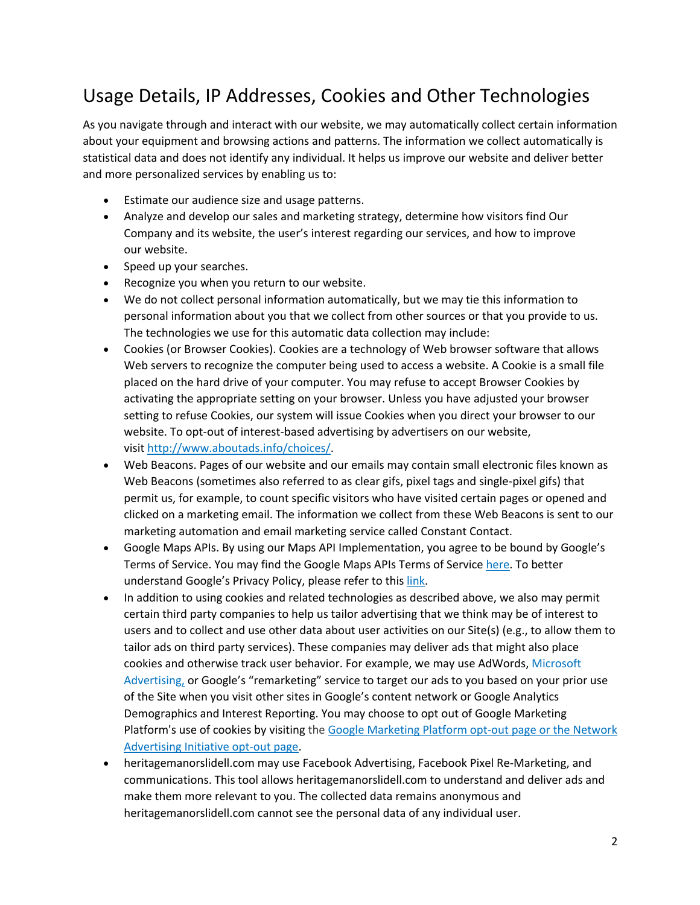# Usage Details, IP Addresses, Cookies and Other Technologies

As you navigate through and interact with our website, we may automatically collect certain information about your equipment and browsing actions and patterns. The information we collect automatically is statistical data and does not identify any individual. It helps us improve our website and deliver better and more personalized services by enabling us to:

- Estimate our audience size and usage patterns.
- Analyze and develop our sales and marketing strategy, determine how visitors find Our Company and its website, the user's interest regarding our services, and how to improve our website.
- Speed up your searches.
- Recognize you when you return to our website.
- We do not collect personal information automatically, but we may tie this information to personal information about you that we collect from other sources or that you provide to us. The technologies we use for this automatic data collection may include:
- Cookies (or Browser Cookies). Cookies are a technology of Web browser software that allows Web servers to recognize the computer being used to access a website. A Cookie is a small file placed on the hard drive of your computer. You may refuse to accept Browser Cookies by activating the appropriate setting on your browser. Unless you have adjusted your browser setting to refuse Cookies, our system will issue Cookies when you direct your browser to our website. To opt-out of interest-based advertising by advertisers on our website, visit http://www.aboutads.info/choices/.
- Web Beacons. Pages of our website and our emails may contain small electronic files known as Web Beacons (sometimes also referred to as clear gifs, pixel tags and single-pixel gifs) that permit us, for example, to count specific visitors who have visited certain pages or opened and clicked on a marketing email. The information we collect from these Web Beacons is sent to our marketing automation and email marketing service called Constant Contact.
- Google Maps APIs. By using our Maps API Implementation, you agree to be bound by Google's Terms of Service. You may find the Google Maps APIs Terms of Service here. To better understand Google's Privacy Policy, please refer to this link.
- In addition to using cookies and related technologies as described above, we also may permit certain third party companies to help us tailor advertising that we think may be of interest to users and to collect and use other data about user activities on our Site(s) (e.g., to allow them to tailor ads on third party services). These companies may deliver ads that might also place cookies and otherwise track user behavior. For example, we may use AdWords, Microsoft Advertising, or Google's "remarketing" service to target our ads to you based on your prior use of the Site when you visit other sites in Google's content network or Google Analytics Demographics and Interest Reporting. You may choose to opt out of Google Marketing Platform's use of cookies by visiting the Google Marketing Platform opt-out page or the Network Advertising Initiative opt-out page.
- heritagemanorslidell.com may use Facebook Advertising, Facebook Pixel Re-Marketing, and communications. This tool allows heritagemanorslidell.com to understand and deliver ads and make them more relevant to you. The collected data remains anonymous and heritagemanorslidell.com cannot see the personal data of any individual user.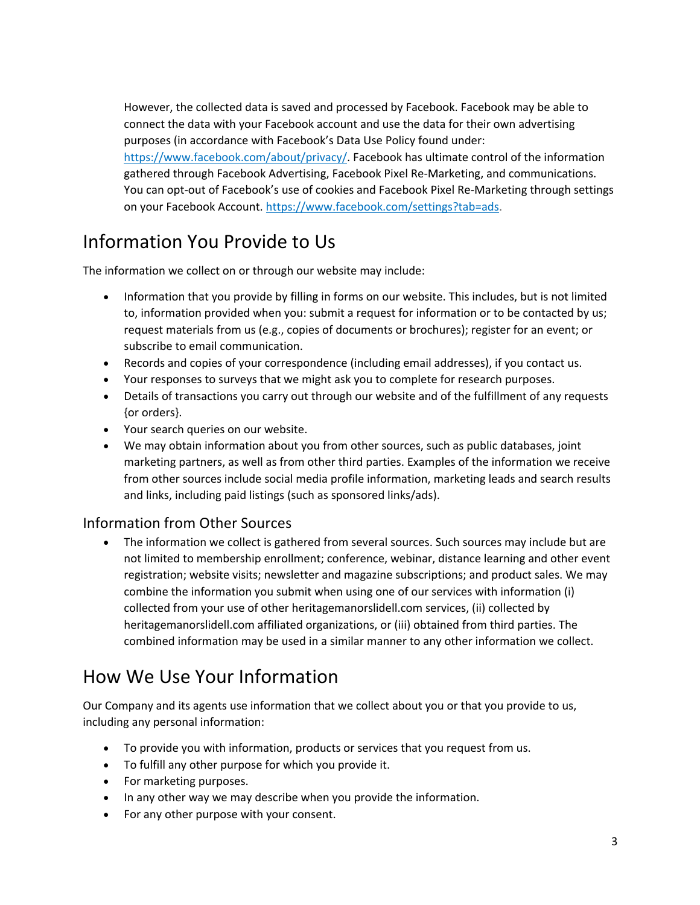However, the collected data is saved and processed by Facebook. Facebook may be able to connect the data with your Facebook account and use the data for their own advertising purposes (in accordance with Facebook's Data Use Policy found under: https://www.facebook.com/about/privacy/. Facebook has ultimate control of the information gathered through Facebook Advertising, Facebook Pixel Re-Marketing, and communications. You can opt-out of Facebook's use of cookies and Facebook Pixel Re-Marketing through settings on your Facebook Account. https://www.facebook.com/settings?tab=ads.

#### Information You Provide to Us

The information we collect on or through our website may include:

- Information that you provide by filling in forms on our website. This includes, but is not limited to, information provided when you: submit a request for information or to be contacted by us; request materials from us (e.g., copies of documents or brochures); register for an event; or subscribe to email communication.
- Records and copies of your correspondence (including email addresses), if you contact us.
- Your responses to surveys that we might ask you to complete for research purposes.
- Details of transactions you carry out through our website and of the fulfillment of any requests {or orders}.
- Your search queries on our website.
- We may obtain information about you from other sources, such as public databases, joint marketing partners, as well as from other third parties. Examples of the information we receive from other sources include social media profile information, marketing leads and search results and links, including paid listings (such as sponsored links/ads).

#### Information from Other Sources

• The information we collect is gathered from several sources. Such sources may include but are not limited to membership enrollment; conference, webinar, distance learning and other event registration; website visits; newsletter and magazine subscriptions; and product sales. We may combine the information you submit when using one of our services with information (i) collected from your use of other heritagemanorslidell.com services, (ii) collected by heritagemanorslidell.com affiliated organizations, or (iii) obtained from third parties. The combined information may be used in a similar manner to any other information we collect.

#### How We Use Your Information

Our Company and its agents use information that we collect about you or that you provide to us, including any personal information:

- To provide you with information, products or services that you request from us.
- To fulfill any other purpose for which you provide it.
- For marketing purposes.
- In any other way we may describe when you provide the information.
- For any other purpose with your consent.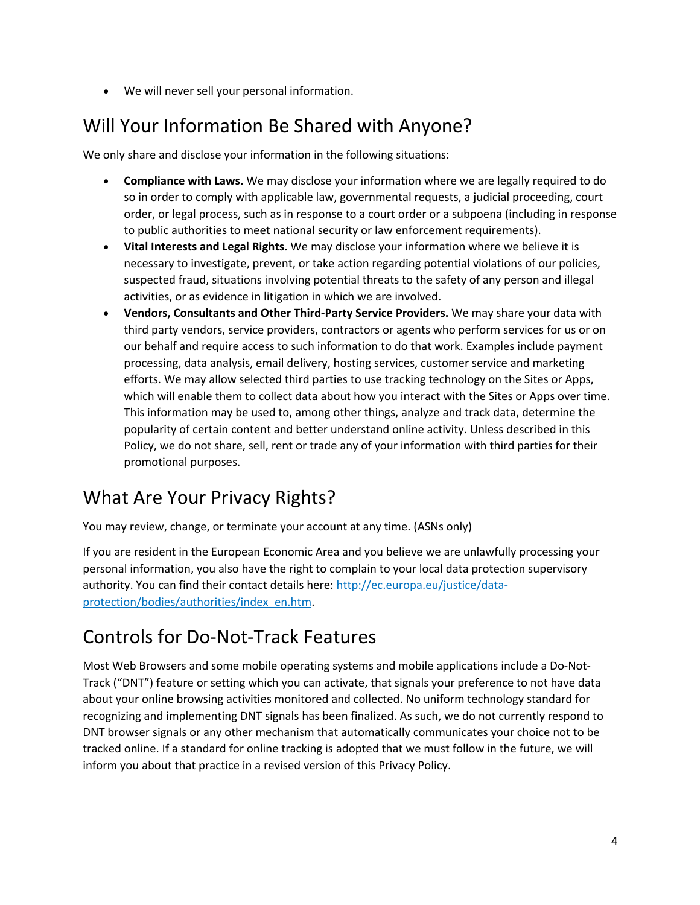• We will never sell your personal information.

# Will Your Information Be Shared with Anyone?

We only share and disclose your information in the following situations:

- **Compliance with Laws.** We may disclose your information where we are legally required to do so in order to comply with applicable law, governmental requests, a judicial proceeding, court order, or legal process, such as in response to a court order or a subpoena (including in response to public authorities to meet national security or law enforcement requirements).
- **Vital Interests and Legal Rights.** We may disclose your information where we believe it is necessary to investigate, prevent, or take action regarding potential violations of our policies, suspected fraud, situations involving potential threats to the safety of any person and illegal activities, or as evidence in litigation in which we are involved.
- **Vendors, Consultants and Other Third-Party Service Providers.** We may share your data with third party vendors, service providers, contractors or agents who perform services for us or on our behalf and require access to such information to do that work. Examples include payment processing, data analysis, email delivery, hosting services, customer service and marketing efforts. We may allow selected third parties to use tracking technology on the Sites or Apps, which will enable them to collect data about how you interact with the Sites or Apps over time. This information may be used to, among other things, analyze and track data, determine the popularity of certain content and better understand online activity. Unless described in this Policy, we do not share, sell, rent or trade any of your information with third parties for their promotional purposes.

# What Are Your Privacy Rights?

You may review, change, or terminate your account at any time. (ASNs only)

If you are resident in the European Economic Area and you believe we are unlawfully processing your personal information, you also have the right to complain to your local data protection supervisory authority. You can find their contact details here: http://ec.europa.eu/justice/dataprotection/bodies/authorities/index\_en.htm.

# Controls for Do-Not-Track Features

Most Web Browsers and some mobile operating systems and mobile applications include a Do-Not-Track ("DNT") feature or setting which you can activate, that signals your preference to not have data about your online browsing activities monitored and collected. No uniform technology standard for recognizing and implementing DNT signals has been finalized. As such, we do not currently respond to DNT browser signals or any other mechanism that automatically communicates your choice not to be tracked online. If a standard for online tracking is adopted that we must follow in the future, we will inform you about that practice in a revised version of this Privacy Policy.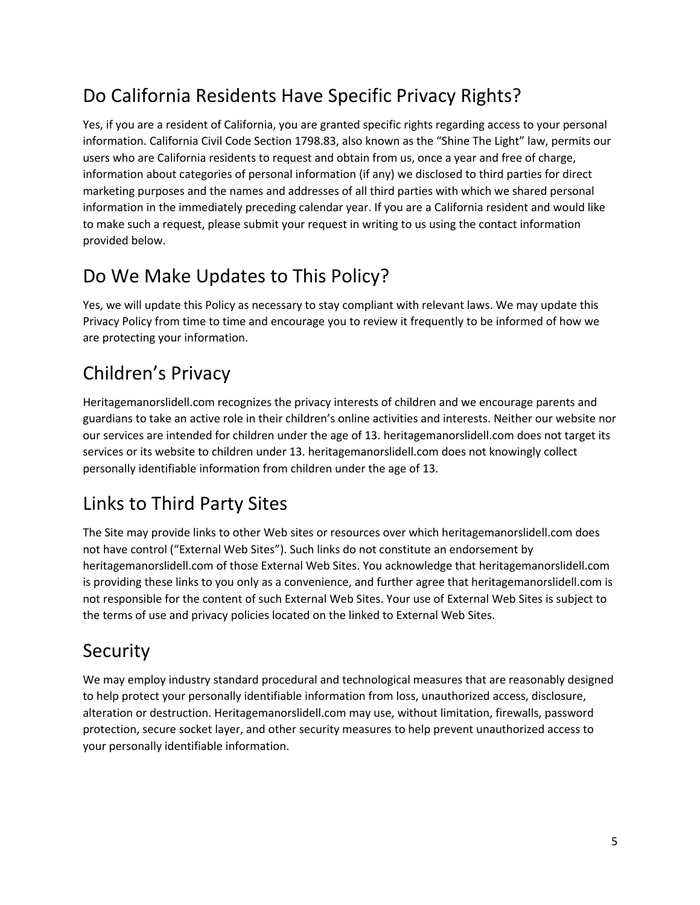# Do California Residents Have Specific Privacy Rights?

Yes, if you are a resident of California, you are granted specific rights regarding access to your personal information. California Civil Code Section 1798.83, also known as the "Shine The Light" law, permits our users who are California residents to request and obtain from us, once a year and free of charge, information about categories of personal information (if any) we disclosed to third parties for direct marketing purposes and the names and addresses of all third parties with which we shared personal information in the immediately preceding calendar year. If you are a California resident and would like to make such a request, please submit your request in writing to us using the contact information provided below.

# Do We Make Updates to This Policy?

Yes, we will update this Policy as necessary to stay compliant with relevant laws. We may update this Privacy Policy from time to time and encourage you to review it frequently to be informed of how we are protecting your information.

# Children's Privacy

Heritagemanorslidell.com recognizes the privacy interests of children and we encourage parents and guardians to take an active role in their children's online activities and interests. Neither our website nor our services are intended for children under the age of 13. heritagemanorslidell.com does not target its services or its website to children under 13. heritagemanorslidell.com does not knowingly collect personally identifiable information from children under the age of 13.

# Links to Third Party Sites

The Site may provide links to other Web sites or resources over which heritagemanorslidell.com does not have control ("External Web Sites"). Such links do not constitute an endorsement by heritagemanorslidell.com of those External Web Sites. You acknowledge that heritagemanorslidell.com is providing these links to you only as a convenience, and further agree that heritagemanorslidell.com is not responsible for the content of such External Web Sites. Your use of External Web Sites is subject to the terms of use and privacy policies located on the linked to External Web Sites.

# Security

We may employ industry standard procedural and technological measures that are reasonably designed to help protect your personally identifiable information from loss, unauthorized access, disclosure, alteration or destruction. Heritagemanorslidell.com may use, without limitation, firewalls, password protection, secure socket layer, and other security measures to help prevent unauthorized access to your personally identifiable information.